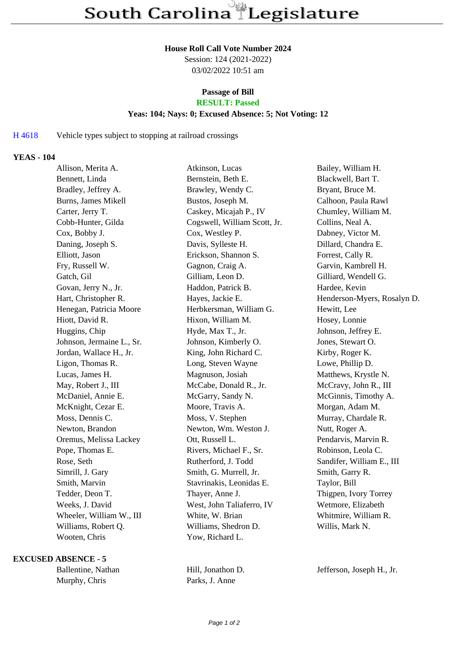#### **House Roll Call Vote Number 2024**

Session: 124 (2021-2022) 03/02/2022 10:51 am

# **Passage of Bill**

# **RESULT: Passed**

#### **Yeas: 104; Nays: 0; Excused Absence: 5; Not Voting: 12**

### H 4618 Vehicle types subject to stopping at railroad crossings

### **YEAS - 104**

| Allison, Merita A.        | Atkinson, Lucas              | Bailey, William H.          |
|---------------------------|------------------------------|-----------------------------|
| Bennett, Linda            | Bernstein, Beth E.           | Blackwell, Bart T.          |
| Bradley, Jeffrey A.       | Brawley, Wendy C.            | Bryant, Bruce M.            |
| Burns, James Mikell       | Bustos, Joseph M.            | Calhoon, Paula Rawl         |
| Carter, Jerry T.          | Caskey, Micajah P., IV       | Chumley, William M.         |
| Cobb-Hunter, Gilda        | Cogswell, William Scott, Jr. | Collins, Neal A.            |
| Cox, Bobby J.             | Cox, Westley P.              | Dabney, Victor M.           |
| Daning, Joseph S.         | Davis, Sylleste H.           | Dillard, Chandra E.         |
| Elliott, Jason            | Erickson, Shannon S.         | Forrest, Cally R.           |
| Fry, Russell W.           | Gagnon, Craig A.             | Garvin, Kambrell H.         |
| Gatch, Gil                | Gilliam, Leon D.             | Gilliard, Wendell G.        |
| Govan, Jerry N., Jr.      | Haddon, Patrick B.           | Hardee, Kevin               |
| Hart, Christopher R.      | Hayes, Jackie E.             | Henderson-Myers, Rosalyn D. |
| Henegan, Patricia Moore   | Herbkersman, William G.      | Hewitt, Lee                 |
| Hiott, David R.           | Hixon, William M.            | Hosey, Lonnie               |
| Huggins, Chip             | Hyde, Max T., Jr.            | Johnson, Jeffrey E.         |
| Johnson, Jermaine L., Sr. | Johnson, Kimberly O.         | Jones, Stewart O.           |
| Jordan, Wallace H., Jr.   | King, John Richard C.        | Kirby, Roger K.             |
| Ligon, Thomas R.          | Long, Steven Wayne           | Lowe, Phillip D.            |
| Lucas, James H.           | Magnuson, Josiah             | Matthews, Krystle N.        |
| May, Robert J., III       | McCabe, Donald R., Jr.       | McCravy, John R., III       |
| McDaniel, Annie E.        | McGarry, Sandy N.            | McGinnis, Timothy A.        |
| McKnight, Cezar E.        | Moore, Travis A.             | Morgan, Adam M.             |
| Moss, Dennis C.           | Moss, V. Stephen             | Murray, Chardale R.         |
| Newton, Brandon           | Newton, Wm. Weston J.        | Nutt, Roger A.              |
| Oremus, Melissa Lackey    | Ott, Russell L.              | Pendarvis, Marvin R.        |
| Pope, Thomas E.           | Rivers, Michael F., Sr.      | Robinson, Leola C.          |
| Rose, Seth                | Rutherford, J. Todd          | Sandifer, William E., III   |
| Simrill, J. Gary          | Smith, G. Murrell, Jr.       | Smith, Garry R.             |
| Smith, Marvin             | Stavrinakis, Leonidas E.     | Taylor, Bill                |
| Tedder, Deon T.           | Thayer, Anne J.              | Thigpen, Ivory Torrey       |
| Weeks, J. David           | West, John Taliaferro, IV    | Wetmore, Elizabeth          |
| Wheeler, William W., III  | White, W. Brian              | Whitmire, William R.        |
| Williams, Robert Q.       | Williams, Shedron D.         | Willis, Mark N.             |
| Wooten, Chris             | Yow, Richard L.              |                             |
|                           |                              |                             |

#### **EXCUSED ABSENCE - 5**

Murphy, Chris Parks, J. Anne

Ballentine, Nathan Hill, Jonathon D. Jefferson, Joseph H., Jr.